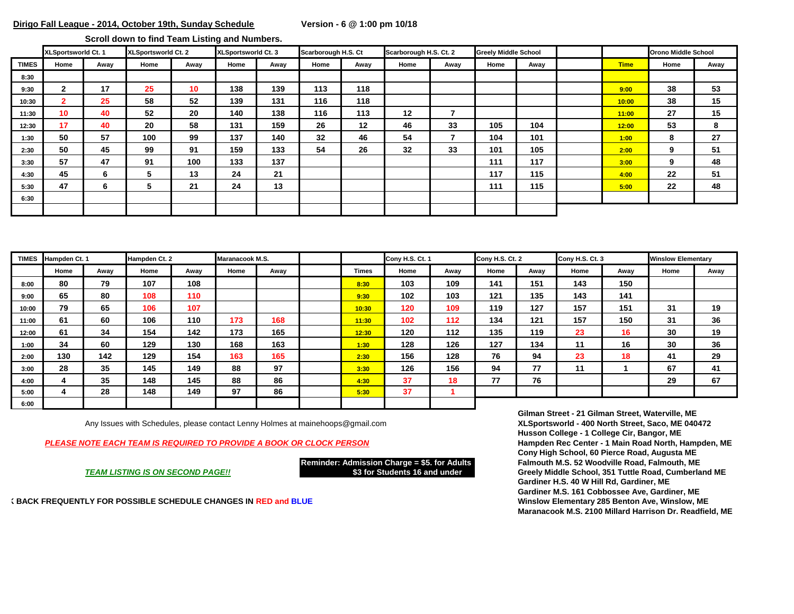**Scroll down to find Team Listing and Numbers.** 

|              | XLSportsworld Ct. 1 |      | XLSportsworld Ct. 2 |      | <b>XLSportsworld Ct. 3</b> |      | Scarborough H.S. Ct |         | Scarborough H.S. Ct. 2 |      | <b>Greely Middle School</b> |      |             | <b>Orono Middle School</b> |      |
|--------------|---------------------|------|---------------------|------|----------------------------|------|---------------------|---------|------------------------|------|-----------------------------|------|-------------|----------------------------|------|
| <b>TIMES</b> | Home                | Away | Home                | Away | Home                       | Away | Home                | Away    | Home                   | Away | Home                        | Away | <b>Time</b> | Home                       | Away |
| 8:30         |                     |      |                     |      |                            |      |                     |         |                        |      |                             |      |             |                            |      |
| 9:30         | $\mathbf{2}$        | 17   | 25                  | 10   | 138                        | 139  | 113                 | 118     |                        |      |                             |      | 9:00        | 38                         | 53   |
| 10:30        | $\overline{2}$      | 25   | 58                  | 52   | 139                        | 131  | 116                 | 118     |                        |      |                             |      | 10:00       | 38                         | 15   |
| 11:30        | 10 <sup>°</sup>     | 40   | 52                  | 20   | 140                        | 138  | 116                 | 113     | 12                     |      |                             |      | 11:00       | 27                         | 15   |
| 12:30        | 17                  | 40   | 20                  | 58   | 131                        | 159  | 26                  | $12 \,$ | 46                     | 33   | 105                         | 104  | 12:00       | 53                         | 8    |
| 1:30         | 50                  | 57   | 100                 | 99   | 137                        | 140  | 32                  | 46      | 54                     |      | 104                         | 101  | 1:00        | 8                          | 27   |
| 2:30         | 50                  | 45   | 99                  | 91   | 159                        | 133  | 54                  | 26      | 32                     | 33   | 101                         | 105  | 2:00        | 9                          | 51   |
| 3:30         | 57                  | 47   | 91                  | 100  | 133                        | 137  |                     |         |                        |      | 111                         | 117  | 3:00        | 9                          | 48   |
| 4:30         | 45                  | 6    | 5                   | 13   | 24                         | 21   |                     |         |                        |      | 117                         | 115  | 4:00        | 22                         | 51   |
| 5:30         | 47                  | 6    | 5                   | 21   | 24                         | 13   |                     |         |                        |      | 111                         | 115  | 5:00        | 22                         | 48   |
| 6:30         |                     |      |                     |      |                            |      |                     |         |                        |      |                             |      |             |                            |      |
|              |                     |      |                     |      |                            |      |                     |         |                        |      |                             |      |             |                            |      |

| <b>TIMES</b> | Hampden Ct. 1 |      | Hampden Ct. 2 |      | Maranacook M.S. |      |              | Cony H.S. Ct. 1 |      | Cony H.S. Ct. 2 |      | Cony H.S. Ct. 3 |      | <b>Winslow Elementary</b> |      |
|--------------|---------------|------|---------------|------|-----------------|------|--------------|-----------------|------|-----------------|------|-----------------|------|---------------------------|------|
|              | Home          | Away | Home          | Away | Home            | Away | <b>Times</b> | Home            | Away | Home            | Away | Home            | Awav | Home                      | Away |
| 8:00         | 80            | 79   | 107           | 108  |                 |      | 8:30         | 103             | 109  | 141             | 151  | 143             | 150  |                           |      |
| 9:00         | 65            | 80   | 108           | 110  |                 |      | 9:30         | 102             | 103  | 121             | 135  | 143             | 141  |                           |      |
| 10:00        | 79            | 65   | 106           | 107  |                 |      | 10:30        | 120             | 109  | 119             | 127  | 157             | 151  | 31                        | 19   |
| 11:00        | 61            | 60   | 106           | 110  | 173             | 168  | 11:30        | 102             | 112  | 134             | 121  | 157             | 150  | 31                        | 36   |
| 12:00        | 61            | 34   | 154           | 142  | 173             | 165  | 12:30        | 120             | 112  | 135             | 119  | 23              | 16   | 30                        | 19   |
| 1:00         | 34            | 60   | 129           | 130  | 168             | 163  | 1:30         | 128             | 126  | 127             | 134  | 11              | 16   | 30                        | 36   |
| 2:00         | 130           | 142  | 129           | 154  | 163             | 165  | 2:30         | 156             | 128  | 76              | 94   | 23              | 18   | 41                        | 29   |
| 3:00         | 28            | 35   | 145           | 149  | 88              | 97   | 3:30         | 126             | 156  | 94              | 77   | 11              |      | 67                        | 41   |
| 4:00         | д             | 35   | 148           | 145  | 88              | 86   | 4:30         | 37              | 18   | 77              | 76   |                 |      | 29                        | 67   |
| 5:00         | 4             | 28   | 148           | 149  | 97              | 86   | 5:30         | 37              |      |                 |      |                 |      |                           |      |
| 6:00         |               |      |               |      |                 |      |              |                 |      |                 |      |                 |      |                           |      |

Any Issues with Schedules, please contact Lenny Holmes at mainehoops@gmail.com

*PLEASE NOTE EACH TEAM IS REQUIRED TO PROVIDE A BOOK OR CLOCK PERSON* **Hampden Rec Center - 1 Main Road North, Hampden, ME**

**CHECK BACK FREQUENTLY FOR POSSIBLE SCHEDULE CHANGES IN RED and BLUE Winslow Elementary 285 Benton Ave, Winslow, ME**

**Gilman Street - 21 Gilman Street, Waterville, ME Husson College - 1 College Cir, Bangor, ME Cony High School, 60 Pierce Road, Augusta ME Reminder: Admission Charge = \$5. for Adults Falmouth M.S. 52 Woodville Road, Falmouth, ME** *TEAM LISTING IS ON SECOND PAGE!!* **\$3 for Students 16 and under Greely Middle School, 351 Tuttle Road, Cumberland ME Gardiner H.S. 40 W Hill Rd, Gardiner, ME Gardiner M.S. 161 Cobbossee Ave, Gardiner, ME Maranacook M.S. 2100 Millard Harrison Dr. Readfield, ME**